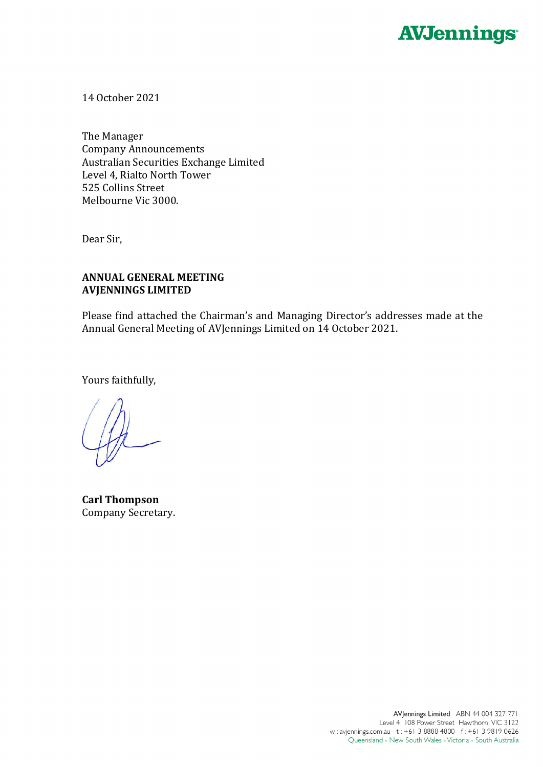

14 October 2021

The Manager Company Announcements Australian Securities Exchange Limited Level 4, Rialto North Tower 525 Collins Street Melbourne Vic 3000.

Dear Sir,

## **ANNUAL GENERAL MEETING AVJENNINGS LIMITED**

Please find attached the Chairman's and Managing Director's addresses made at the Annual General Meeting of AVJennings Limited on 14 October 2021.

Yours faithfully,

**Carl Thompson** Company Secretary.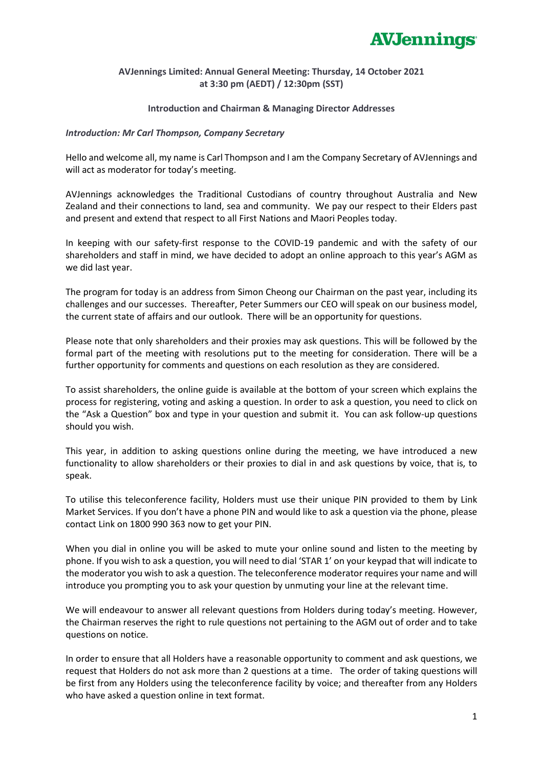

### **AVJennings Limited: Annual General Meeting: Thursday, 14 October 2021 at 3:30 pm (AEDT) / 12:30pm (SST)**

### **Introduction and Chairman & Managing Director Addresses**

### *Introduction: Mr Carl Thompson, Company Secretary*

Hello and welcome all, my name is Carl Thompson and I am the Company Secretary of AVJennings and will act as moderator for today's meeting.

AVJennings acknowledges the Traditional Custodians of country throughout Australia and New Zealand and their connections to land, sea and community. We pay our respect to their Elders past and present and extend that respect to all First Nations and Maori Peoples today.

In keeping with our safety-first response to the COVID-19 pandemic and with the safety of our shareholders and staff in mind, we have decided to adopt an online approach to this year's AGM as we did last year.

The program for today is an address from Simon Cheong our Chairman on the past year, including its challenges and our successes. Thereafter, Peter Summers our CEO will speak on our business model, the current state of affairs and our outlook. There will be an opportunity for questions.

Please note that only shareholders and their proxies may ask questions. This will be followed by the formal part of the meeting with resolutions put to the meeting for consideration. There will be a further opportunity for comments and questions on each resolution as they are considered.

To assist shareholders, the online guide is available at the bottom of your screen which explains the process for registering, voting and asking a question. In order to ask a question, you need to click on the "Ask a Question" box and type in your question and submit it. You can ask follow-up questions should you wish.

This year, in addition to asking questions online during the meeting, we have introduced a new functionality to allow shareholders or their proxies to dial in and ask questions by voice, that is, to speak.

To utilise this teleconference facility, Holders must use their unique PIN provided to them by Link Market Services. If you don't have a phone PIN and would like to ask a question via the phone, please contact Link on 1800 990 363 now to get your PIN.

When you dial in online you will be asked to mute your online sound and listen to the meeting by phone. If you wish to ask a question, you will need to dial 'STAR 1' on your keypad that will indicate to the moderator you wish to ask a question. The teleconference moderator requires your name and will introduce you prompting you to ask your question by unmuting your line at the relevant time.

We will endeavour to answer all relevant questions from Holders during today's meeting. However, the Chairman reserves the right to rule questions not pertaining to the AGM out of order and to take questions on notice.

In order to ensure that all Holders have a reasonable opportunity to comment and ask questions, we request that Holders do not ask more than 2 questions at a time. The order of taking questions will be first from any Holders using the teleconference facility by voice; and thereafter from any Holders who have asked a question online in text format.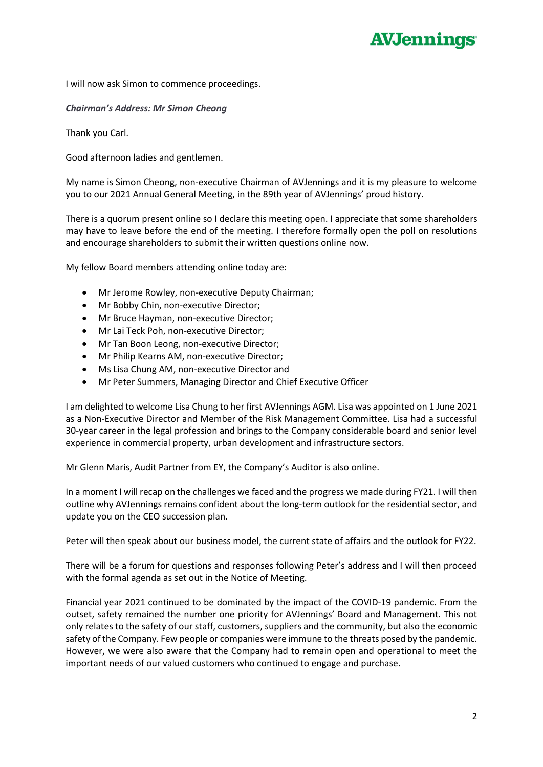# **AVJennings**

I will now ask Simon to commence proceedings.

### *Chairman's Address: Mr Simon Cheong*

Thank you Carl.

Good afternoon ladies and gentlemen.

My name is Simon Cheong, non-executive Chairman of AVJennings and it is my pleasure to welcome you to our 2021 Annual General Meeting, in the 89th year of AVJennings' proud history.

There is a quorum present online so I declare this meeting open. I appreciate that some shareholders may have to leave before the end of the meeting. I therefore formally open the poll on resolutions and encourage shareholders to submit their written questions online now.

My fellow Board members attending online today are:

- Mr Jerome Rowley, non-executive Deputy Chairman;
- Mr Bobby Chin, non-executive Director;
- Mr Bruce Hayman, non-executive Director;
- Mr Lai Teck Poh, non-executive Director;
- Mr Tan Boon Leong, non-executive Director;
- Mr Philip Kearns AM, non-executive Director;
- Ms Lisa Chung AM, non-executive Director and
- Mr Peter Summers, Managing Director and Chief Executive Officer

I am delighted to welcome Lisa Chung to her first AVJennings AGM. Lisa was appointed on 1 June 2021 as a Non-Executive Director and Member of the Risk Management Committee. Lisa had a successful 30-year career in the legal profession and brings to the Company considerable board and senior level experience in commercial property, urban development and infrastructure sectors.

Mr Glenn Maris, Audit Partner from EY, the Company's Auditor is also online.

In a moment I will recap on the challenges we faced and the progress we made during FY21. I will then outline why AVJennings remains confident about the long-term outlook for the residential sector, and update you on the CEO succession plan.

Peter will then speak about our business model, the current state of affairs and the outlook for FY22.

There will be a forum for questions and responses following Peter's address and I will then proceed with the formal agenda as set out in the Notice of Meeting.

Financial year 2021 continued to be dominated by the impact of the COVID-19 pandemic. From the outset, safety remained the number one priority for AVJennings' Board and Management. This not only relates to the safety of our staff, customers, suppliers and the community, but also the economic safety of the Company. Few people or companies were immune to the threats posed by the pandemic. However, we were also aware that the Company had to remain open and operational to meet the important needs of our valued customers who continued to engage and purchase.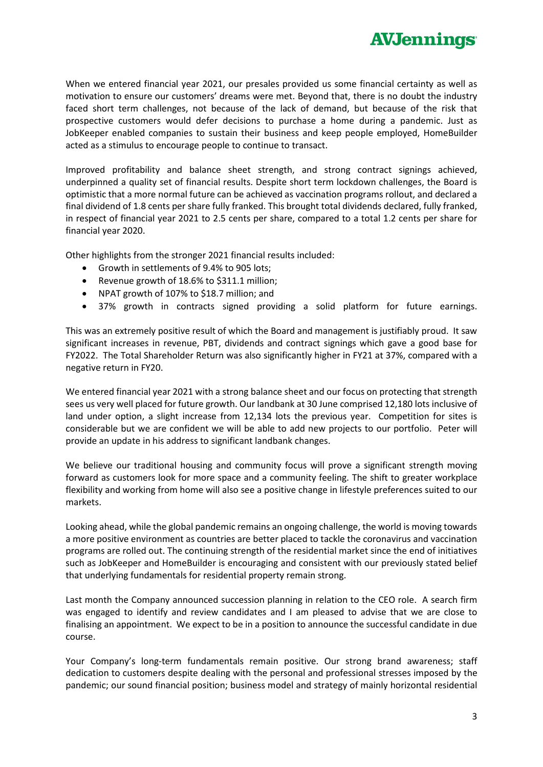

When we entered financial year 2021, our presales provided us some financial certainty as well as motivation to ensure our customers' dreams were met. Beyond that, there is no doubt the industry faced short term challenges, not because of the lack of demand, but because of the risk that prospective customers would defer decisions to purchase a home during a pandemic. Just as JobKeeper enabled companies to sustain their business and keep people employed, HomeBuilder acted as a stimulus to encourage people to continue to transact.

Improved profitability and balance sheet strength, and strong contract signings achieved, underpinned a quality set of financial results. Despite short term lockdown challenges, the Board is optimistic that a more normal future can be achieved as vaccination programs rollout, and declared a final dividend of 1.8 cents per share fully franked. This brought total dividends declared, fully franked, in respect of financial year 2021 to 2.5 cents per share, compared to a total 1.2 cents per share for financial year 2020.

Other highlights from the stronger 2021 financial results included:

- Growth in settlements of 9.4% to 905 lots;
- Revenue growth of 18.6% to \$311.1 million;
- NPAT growth of 107% to \$18.7 million; and
- 37% growth in contracts signed providing a solid platform for future earnings.

This was an extremely positive result of which the Board and management is justifiably proud. It saw significant increases in revenue, PBT, dividends and contract signings which gave a good base for FY2022. The Total Shareholder Return was also significantly higher in FY21 at 37%, compared with a negative return in FY20.

We entered financial year 2021 with a strong balance sheet and our focus on protecting that strength sees us very well placed for future growth. Our landbank at 30 June comprised 12,180 lots inclusive of land under option, a slight increase from 12,134 lots the previous year. Competition for sites is considerable but we are confident we will be able to add new projects to our portfolio. Peter will provide an update in his address to significant landbank changes.

We believe our traditional housing and community focus will prove a significant strength moving forward as customers look for more space and a community feeling. The shift to greater workplace flexibility and working from home will also see a positive change in lifestyle preferences suited to our markets.

Looking ahead, while the global pandemic remains an ongoing challenge, the world is moving towards a more positive environment as countries are better placed to tackle the coronavirus and vaccination programs are rolled out. The continuing strength of the residential market since the end of initiatives such as JobKeeper and HomeBuilder is encouraging and consistent with our previously stated belief that underlying fundamentals for residential property remain strong.

Last month the Company announced succession planning in relation to the CEO role. A search firm was engaged to identify and review candidates and I am pleased to advise that we are close to finalising an appointment. We expect to be in a position to announce the successful candidate in due course.

Your Company's long-term fundamentals remain positive. Our strong brand awareness; staff dedication to customers despite dealing with the personal and professional stresses imposed by the pandemic; our sound financial position; business model and strategy of mainly horizontal residential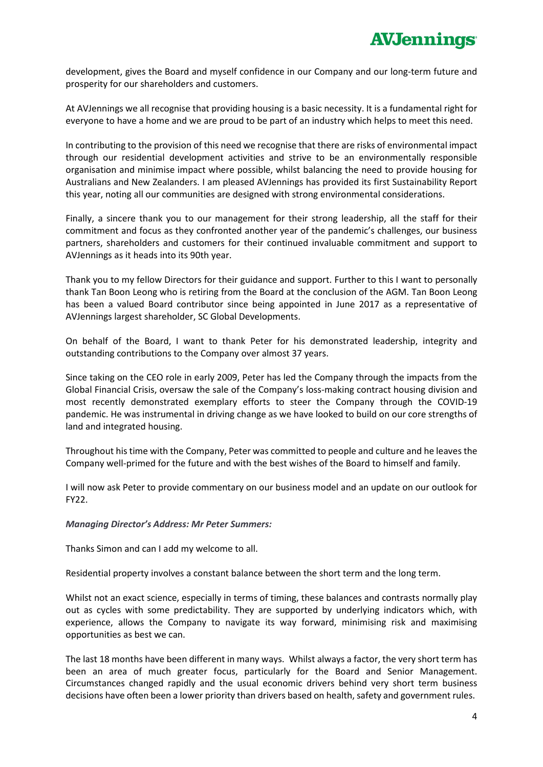development, gives the Board and myself confidence in our Company and our long-term future and prosperity for our shareholders and customers.

At AVJennings we all recognise that providing housing is a basic necessity. It is a fundamental right for everyone to have a home and we are proud to be part of an industry which helps to meet this need.

In contributing to the provision of this need we recognise that there are risks of environmental impact through our residential development activities and strive to be an environmentally responsible organisation and minimise impact where possible, whilst balancing the need to provide housing for Australians and New Zealanders. I am pleased AVJennings has provided its first Sustainability Report this year, noting all our communities are designed with strong environmental considerations.

Finally, a sincere thank you to our management for their strong leadership, all the staff for their commitment and focus as they confronted another year of the pandemic's challenges, our business partners, shareholders and customers for their continued invaluable commitment and support to AVJennings as it heads into its 90th year.

Thank you to my fellow Directors for their guidance and support. Further to this I want to personally thank Tan Boon Leong who is retiring from the Board at the conclusion of the AGM. Tan Boon Leong has been a valued Board contributor since being appointed in June 2017 as a representative of AVJennings largest shareholder, SC Global Developments.

On behalf of the Board, I want to thank Peter for his demonstrated leadership, integrity and outstanding contributions to the Company over almost 37 years.

Since taking on the CEO role in early 2009, Peter has led the Company through the impacts from the Global Financial Crisis, oversaw the sale of the Company's loss-making contract housing division and most recently demonstrated exemplary efforts to steer the Company through the COVID-19 pandemic. He was instrumental in driving change as we have looked to build on our core strengths of land and integrated housing.

Throughout his time with the Company, Peter was committed to people and culture and he leaves the Company well-primed for the future and with the best wishes of the Board to himself and family.

I will now ask Peter to provide commentary on our business model and an update on our outlook for FY22.

#### *Managing Director's Address: Mr Peter Summers:*

Thanks Simon and can I add my welcome to all.

Residential property involves a constant balance between the short term and the long term.

Whilst not an exact science, especially in terms of timing, these balances and contrasts normally play out as cycles with some predictability. They are supported by underlying indicators which, with experience, allows the Company to navigate its way forward, minimising risk and maximising opportunities as best we can.

The last 18 months have been different in many ways. Whilst always a factor, the very short term has been an area of much greater focus, particularly for the Board and Senior Management. Circumstances changed rapidly and the usual economic drivers behind very short term business decisions have often been a lower priority than drivers based on health, safety and government rules.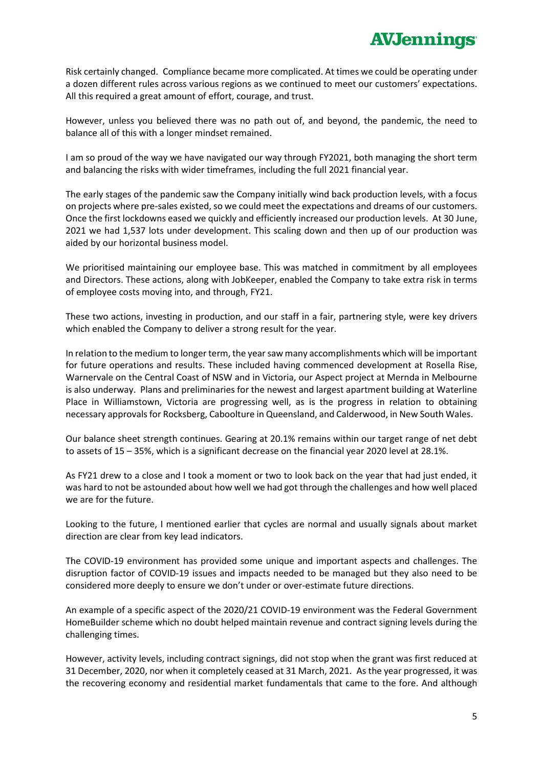Risk certainly changed. Compliance became more complicated. At times we could be operating under a dozen different rules across various regions as we continued to meet our customers' expectations. All this required a great amount of effort, courage, and trust.

However, unless you believed there was no path out of, and beyond, the pandemic, the need to balance all of this with a longer mindset remained.

I am so proud of the way we have navigated our way through FY2021, both managing the short term and balancing the risks with wider timeframes, including the full 2021 financial year.

The early stages of the pandemic saw the Company initially wind back production levels, with a focus on projects where pre-sales existed, so we could meet the expectations and dreams of our customers. Once the first lockdowns eased we quickly and efficiently increased our production levels. At 30 June, 2021 we had 1,537 lots under development. This scaling down and then up of our production was aided by our horizontal business model.

We prioritised maintaining our employee base. This was matched in commitment by all employees and Directors. These actions, along with JobKeeper, enabled the Company to take extra risk in terms of employee costs moving into, and through, FY21.

These two actions, investing in production, and our staff in a fair, partnering style, were key drivers which enabled the Company to deliver a strong result for the year.

In relation to the medium to longer term, the year saw many accomplishments which will be important for future operations and results. These included having commenced development at Rosella Rise, Warnervale on the Central Coast of NSW and in Victoria, our Aspect project at Mernda in Melbourne is also underway. Plans and preliminaries for the newest and largest apartment building at Waterline Place in Williamstown, Victoria are progressing well, as is the progress in relation to obtaining necessary approvals for Rocksberg, Caboolture in Queensland, and Calderwood, in New South Wales.

Our balance sheet strength continues. Gearing at 20.1% remains within our target range of net debt to assets of 15 – 35%, which is a significant decrease on the financial year 2020 level at 28.1%.

As FY21 drew to a close and I took a moment or two to look back on the year that had just ended, it was hard to not be astounded about how well we had got through the challenges and how well placed we are for the future.

Looking to the future, I mentioned earlier that cycles are normal and usually signals about market direction are clear from key lead indicators.

The COVID-19 environment has provided some unique and important aspects and challenges. The disruption factor of COVID-19 issues and impacts needed to be managed but they also need to be considered more deeply to ensure we don't under or over-estimate future directions.

An example of a specific aspect of the 2020/21 COVID-19 environment was the Federal Government HomeBuilder scheme which no doubt helped maintain revenue and contract signing levels during the challenging times.

However, activity levels, including contract signings, did not stop when the grant was first reduced at 31 December, 2020, nor when it completely ceased at 31 March, 2021. As the year progressed, it was the recovering economy and residential market fundamentals that came to the fore. And although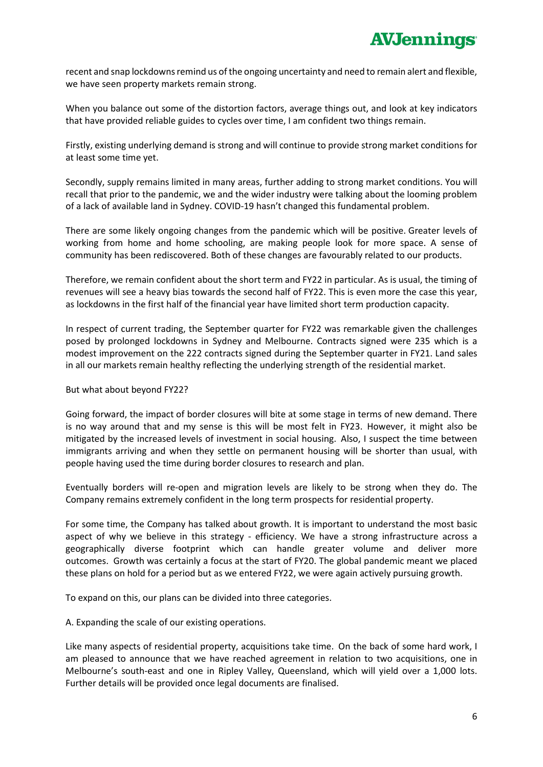recent and snap lockdowns remind us of the ongoing uncertainty and need to remain alert and flexible, we have seen property markets remain strong.

When you balance out some of the distortion factors, average things out, and look at key indicators that have provided reliable guides to cycles over time, I am confident two things remain.

Firstly, existing underlying demand is strong and will continue to provide strong market conditions for at least some time yet.

Secondly, supply remains limited in many areas, further adding to strong market conditions. You will recall that prior to the pandemic, we and the wider industry were talking about the looming problem of a lack of available land in Sydney. COVID-19 hasn't changed this fundamental problem.

There are some likely ongoing changes from the pandemic which will be positive. Greater levels of working from home and home schooling, are making people look for more space. A sense of community has been rediscovered. Both of these changes are favourably related to our products.

Therefore, we remain confident about the short term and FY22 in particular. As is usual, the timing of revenues will see a heavy bias towards the second half of FY22. This is even more the case this year, as lockdowns in the first half of the financial year have limited short term production capacity.

In respect of current trading, the September quarter for FY22 was remarkable given the challenges posed by prolonged lockdowns in Sydney and Melbourne. Contracts signed were 235 which is a modest improvement on the 222 contracts signed during the September quarter in FY21. Land sales in all our markets remain healthy reflecting the underlying strength of the residential market.

### But what about beyond FY22?

Going forward, the impact of border closures will bite at some stage in terms of new demand. There is no way around that and my sense is this will be most felt in FY23. However, it might also be mitigated by the increased levels of investment in social housing. Also, I suspect the time between immigrants arriving and when they settle on permanent housing will be shorter than usual, with people having used the time during border closures to research and plan.

Eventually borders will re-open and migration levels are likely to be strong when they do. The Company remains extremely confident in the long term prospects for residential property.

For some time, the Company has talked about growth. It is important to understand the most basic aspect of why we believe in this strategy - efficiency. We have a strong infrastructure across a geographically diverse footprint which can handle greater volume and deliver more outcomes. Growth was certainly a focus at the start of FY20. The global pandemic meant we placed these plans on hold for a period but as we entered FY22, we were again actively pursuing growth.

To expand on this, our plans can be divided into three categories.

A. Expanding the scale of our existing operations.

Like many aspects of residential property, acquisitions take time. On the back of some hard work, I am pleased to announce that we have reached agreement in relation to two acquisitions, one in Melbourne's south-east and one in Ripley Valley, Queensland, which will yield over a 1,000 lots. Further details will be provided once legal documents are finalised.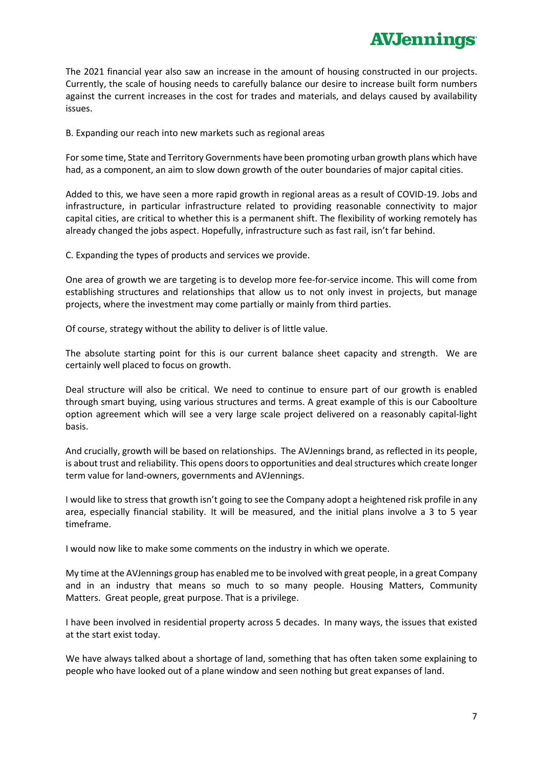The 2021 financial year also saw an increase in the amount of housing constructed in our projects. Currently, the scale of housing needs to carefully balance our desire to increase built form numbers against the current increases in the cost for trades and materials, and delays caused by availability issues.

B. Expanding our reach into new markets such as regional areas

For some time, State and Territory Governments have been promoting urban growth plans which have had, as a component, an aim to slow down growth of the outer boundaries of major capital cities.

Added to this, we have seen a more rapid growth in regional areas as a result of COVID-19. Jobs and infrastructure, in particular infrastructure related to providing reasonable connectivity to major capital cities, are critical to whether this is a permanent shift. The flexibility of working remotely has already changed the jobs aspect. Hopefully, infrastructure such as fast rail, isn't far behind.

C. Expanding the types of products and services we provide.

One area of growth we are targeting is to develop more fee-for-service income. This will come from establishing structures and relationships that allow us to not only invest in projects, but manage projects, where the investment may come partially or mainly from third parties.

Of course, strategy without the ability to deliver is of little value.

The absolute starting point for this is our current balance sheet capacity and strength. We are certainly well placed to focus on growth.

Deal structure will also be critical. We need to continue to ensure part of our growth is enabled through smart buying, using various structures and terms. A great example of this is our Caboolture option agreement which will see a very large scale project delivered on a reasonably capital-light basis.

And crucially, growth will be based on relationships. The AVJennings brand, as reflected in its people, is about trust and reliability. This opens doors to opportunities and deal structures which create longer term value for land-owners, governments and AVJennings.

I would like to stress that growth isn't going to see the Company adopt a heightened risk profile in any area, especially financial stability. It will be measured, and the initial plans involve a 3 to 5 year timeframe.

I would now like to make some comments on the industry in which we operate.

My time at the AVJennings group has enabled me to be involved with great people, in a great Company and in an industry that means so much to so many people. Housing Matters, Community Matters. Great people, great purpose. That is a privilege.

I have been involved in residential property across 5 decades. In many ways, the issues that existed at the start exist today.

We have always talked about a shortage of land, something that has often taken some explaining to people who have looked out of a plane window and seen nothing but great expanses of land.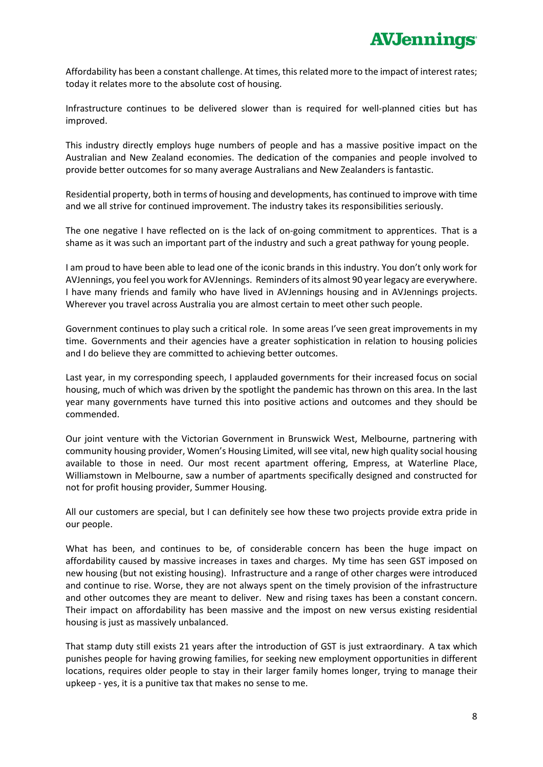Affordability has been a constant challenge. At times, this related more to the impact of interest rates; today it relates more to the absolute cost of housing.

Infrastructure continues to be delivered slower than is required for well-planned cities but has improved.

This industry directly employs huge numbers of people and has a massive positive impact on the Australian and New Zealand economies. The dedication of the companies and people involved to provide better outcomes for so many average Australians and New Zealanders is fantastic.

Residential property, both in terms of housing and developments, has continued to improve with time and we all strive for continued improvement. The industry takes its responsibilities seriously.

The one negative I have reflected on is the lack of on-going commitment to apprentices. That is a shame as it was such an important part of the industry and such a great pathway for young people.

I am proud to have been able to lead one of the iconic brands in this industry. You don't only work for AVJennings, you feel you work for AVJennings. Reminders of its almost 90 year legacy are everywhere. I have many friends and family who have lived in AVJennings housing and in AVJennings projects. Wherever you travel across Australia you are almost certain to meet other such people.

Government continues to play such a critical role. In some areas I've seen great improvements in my time. Governments and their agencies have a greater sophistication in relation to housing policies and I do believe they are committed to achieving better outcomes.

Last year, in my corresponding speech, I applauded governments for their increased focus on social housing, much of which was driven by the spotlight the pandemic has thrown on this area. In the last year many governments have turned this into positive actions and outcomes and they should be commended.

Our joint venture with the Victorian Government in Brunswick West, Melbourne, partnering with community housing provider, Women's Housing Limited, will see vital, new high quality social housing available to those in need. Our most recent apartment offering, Empress, at Waterline Place, Williamstown in Melbourne, saw a number of apartments specifically designed and constructed for not for profit housing provider, Summer Housing.

All our customers are special, but I can definitely see how these two projects provide extra pride in our people.

What has been, and continues to be, of considerable concern has been the huge impact on affordability caused by massive increases in taxes and charges. My time has seen GST imposed on new housing (but not existing housing). Infrastructure and a range of other charges were introduced and continue to rise. Worse, they are not always spent on the timely provision of the infrastructure and other outcomes they are meant to deliver. New and rising taxes has been a constant concern. Their impact on affordability has been massive and the impost on new versus existing residential housing is just as massively unbalanced.

That stamp duty still exists 21 years after the introduction of GST is just extraordinary. A tax which punishes people for having growing families, for seeking new employment opportunities in different locations, requires older people to stay in their larger family homes longer, trying to manage their upkeep - yes, it is a punitive tax that makes no sense to me.